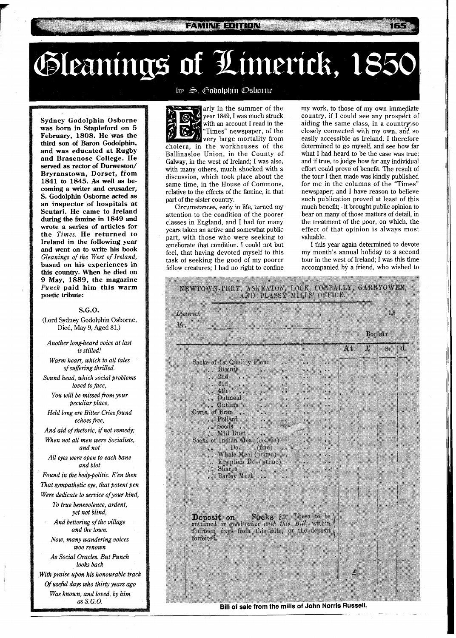# Gleanings of Limerick, 1850

**FAMINE EDITION** 

**Sydney Godolphin Osborne was born in Stapleford on 5 February, 1808. He was the third son of Baron Godolphin, and was educated at Rugby and Brasenose College. He served as rector of Durweston/ Bryranstown, Dorset, from 1841 to 1845. As well as becoming a writer and crusader, S. Godolphin Osborne acted as an inspector of hospitals at Scutari. He came to Ireland during the famine in 1849 and wrote a series of articles for the** *Times.* **He returned to Ireland in the following year and went on to write his book**  *Gleanings of the West of Ireland,*  **based on his experiences in this country. When he died on 9 May, 1889, the magazine**  *Punch* **paid him this warm poetic tribute:** 

#### **S.G.O.**

(Lord Sydney Godolphin Osborne, Died, May 9, Aged 81.)

*Another long-heard voice at last is stilled!* 

*Warm heart, which to all tales of suffering thrilled.* 

*Sound head, which social problems loved to face,* 

You will be missed from your *peculiar place,* 

*Held long ere Bitter Cries found echoes fiee,* 

*And aid of rhetoric,* **if** *not remedy; When not all men were Socialists, and not* 

*All eyes were open to each bane and blot* 

*Found in the bodypolitic. E'en then That sympathetic eye, that potent pen Were dedicate to service ofyour kind, To true benevolence, ardent,* 

*yet not blind, And bettering of the village* 

*and the town.* 

*Now, many wandering voices WOO renown* 

*As Social Oracles. But Punch*  looks back

*With praise upon his honourable track Of useficl days who thirty years ago Was known, and loved, by him as S. G. 0.* 

# by S. Godolphin Osborne

arly in the summer of the year 1849, I was much struck with an account I read in the "Times" newspaper, of the very large mortality from cholera, in the workhouses of the Ballinasloe Union, in the County of Galway, in the west of Ireland; I was also, with many others, much shocked with a discussion, which took place about the same time, in the House of Commons, relative to the effects of the famine, in that part of the sister country.

Circumstances, early in life, turned my attention to the condition of the poorer classes in England, and I had for many years taken an active and somewhat public part, with those who were seeking to ameliorate that condition. I could not but feel, that having devoted myself to this task of seeking the good of my poorer fellow creatures; I had no right to confine my work, to those of my own immediate country, if I could see any prospect of aiding the same class, in a country, so closely connected with my own, and so easily accessible as Ireland. I therefore determined to go myself, and see how far what I had heard to be the case was true; and if true, to judge how far any individual effort could prove of benefit. The result of the tour I then made was kindly published for me in the columns of the "Times" newspaper; and I have reason to believe such publication proved at least of this much benefit; - it brought public opinion to bear on many of those matters of detail, in the treatment of the poor, on which, the effect of that opinion is always most valuable.

I this year again determined to devote my month's annual holiday to a second tour in the west of Ireland; I was this time accompanied by a friend, who wished to



Bill of sale from the mills of John Norris Russell.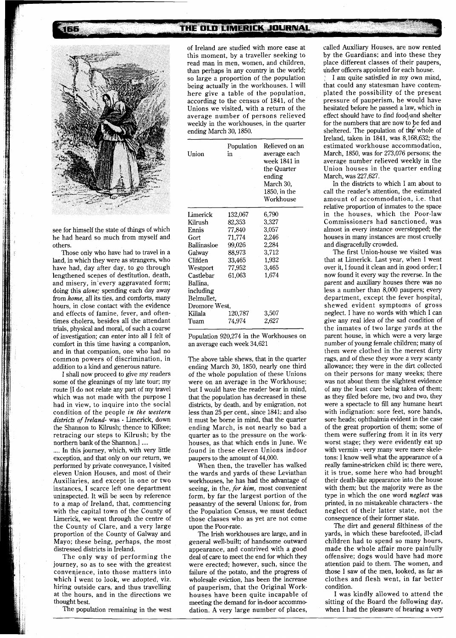## THE OLD LIMERICK JOURNAL



see for himself the state of things of which he had heard so much from myself and others.

Those only who have had to travel in a land, in which they were as strangers, who have had, day after day, to go through lengthened scenes of destitution, death, and misery, in'every aggravated form; doing this *alone;* spending each day away from *home,* all its ties, and comforts, many hours, in close contact with the evidence and effects of famine, fever, and oftentimes cholera, besides all the attendant trials, physical and moral, of such a course of investigation; can enter into all I felt of comfort in this time having a companion, and in that companion, one who had no common powers of discrimination, in addition to a kind and generous nature.

I shall now proceed to give my readers some of the gleanings of my late tour; my route [I do not relate any part of my travel which was not made with the purpose I had in view, to inquire into the social condition of the people *in the western distm'cts of Ireland-* was - Limerick, down the Shannon to Kilrush; thence to Kilkee; retracing our steps to Kilrush; by the

.... In this journey, which, with very little exception, and that only on our return, we performed by private conveyance, 1 visited eleven Union Houses, and most of their Auxiliaries, and except in one or two instances, I scarce left one department uninspected. It will be seen by reference to a map of Ireland, that, commencing with the capital town of the County of Limerick, we went through the centre of the County of Clare, and a very large proportion of the County of Galway and Mayo; these being, perhaps, the most distressed districts in Ireland.

The only way of performing the journey, so as to see with the greatest convenience, into those matters into which I went to look, we adopted, viz. hiring outside cars, and thus travelling at the hours, and in the directions we thought best.

The population remaining in the west

of Ireland are studied with more ease at this moment, by a traveller seeking to read man in men, women, and children, than perhaps in any country in the world; so large a proportion of the population being actually in the workhouses. I will here give a table of the population, according to the census of 1841, of the Unions we visited, with a return of the average number of persons relieved weekly in the workhouses, in the quarter ending March 30,1850.

| Union         | Population<br>in | Relieved on an<br>average each<br>week 1841 in<br>the Quarter<br>ending<br>March 30.<br>1850, in the<br>Workhouse |
|---------------|------------------|-------------------------------------------------------------------------------------------------------------------|
| Limerick      | 132,067          | 6,790                                                                                                             |
| Kilrush       | 82,353           | 3,327                                                                                                             |
| Ennis         | 77,840           | 3.057                                                                                                             |
| Gort          | 71,774           | 2.246                                                                                                             |
| Ballinasloe   | 99,026           | 2.284                                                                                                             |
| Galway        | 88.973           | 3.712                                                                                                             |
| Clifden       | 33,465           | 1.932                                                                                                             |
| Westport      | 77.952           | 3.465                                                                                                             |
| Castlebar     | 61,063           | 1,674                                                                                                             |
| Ballina.      |                  |                                                                                                                   |
| including     |                  |                                                                                                                   |
| Belmullet.    |                  |                                                                                                                   |
| Dromore West. |                  |                                                                                                                   |
| Killala       | 120.787          | 3,507                                                                                                             |
| Tuam          | 74,974           | 2.627                                                                                                             |

Population 920,274 in the Workhouses on an average each week 34,621

The above table shews, that in the quarter ending March 30, 1850, nearly one third of the whole population of these Unions were on an average in the Workhouse; but I would have the reader bear in mind, that the population has decreased in these districts, by death, and by emigration, not less than 25 per cent., since 1841; and also it must be borne in mind, that the quarter ending March, is not nearly so bad a quarter as to the pressure on the workhouses, as that which ends in June. We found in these eleven Unions indoor paupers to the amount of 44,000.

When then, the traveller has walked the wards and yards of these Leviathan workhouses, he has had the advantage of seeing, in the, *fir him,* most convenient form, by far the largest portion of the peasantry of the several Unions; for, from the Population Census, we must deduct those classes who as yet are not come upon the Poor-rate.

The Irish workhouses are large, and in general well-built; of handsome outward appearance, and contrived with a good deal of care to meet the end for which they were erected; however, such, since the failure of the potato, and the progress of wholesale eviction, has been the increase of pauperism, that the Original Workhouses have been quite incapable of meeting the demand for in-door accommodation. A very large number of places,

called Auxiliary Houses, are now rented by the Guardians; and into these they place different classes of their paupers, under officers appointed for each house.

I am quite satisfied in my own mind, that could any statesman have contemplated the possibility of the present pressure of pauperism, he would have hesitated before he passed a law, which in effect should have to find food/and shelter for the numbers that are now to be fed and sheltered. The population of the whole of Ireland, taken in 1841, was 8,168,632; the estimated workhouse accommodation, March, 1850, was for 273,076 persons; the average number relieved weekly in the Union houses in the quarter ending March, was 227,627.

In the districts to which I am about to call the reader's attention, the estimated amount of accommodation, i.e. that relative proportion of inmates to the space in the houses, which the Poor-law Commissioners had sanctioned, was almost in every instance overstepped; the houses in many instances are most cruelly and disgracefully crowded.

The first Union-house we visited was that at Limerick. Last year, when I went over it, I found it clean and in good order; I now found it every way the reverse. In the parent and auxiliary houses there was no less a number than 8,000 paupers; every department, except the fever hospital, shewed evident symptoms of gross neglect. I have no words with which I can give any real idea of the sad condition of the inmates of two large yards at the parent house, in which were a very large number of young female children; many of them were clothed in the merest dirty rags, and of these they wore a very scanty allowance; they were in the dirt collected on their persons for many weeks; there was not about them the slightest evidence of any the least care being taken of them; as they filed before me, two and two, they were a spectacle to fill any humane heart with indignation: sore feet, sore hands, sore heads; ophthalmia evident in the case of the great proportion of them; some of them were suffering from it in its very worst stage; they were evidently eat up with vermin - very many were mere skeletons: I know well what the appearance of a really famine-stricken child is; there were, it is true, some here who had brought their death-like appearance into the house with them; but the majority were as the type in which the one word *neglect* was printed, in no mistakeable characters - the neglect of their latter state, not the consequence of their former state.

The dirt and general filthiness of the yards, in which these barefooted, ill-clad children had to spend so many hours, made the whole affair more painfully offensive; dogs would have had more attention paid to them. The women, and those I saw of the men, looked, as far as clothes and flesh went, in far better condition.

I was kindly allowed to attend the sitting of the Board the following day, when I had the pleasure of hearing a very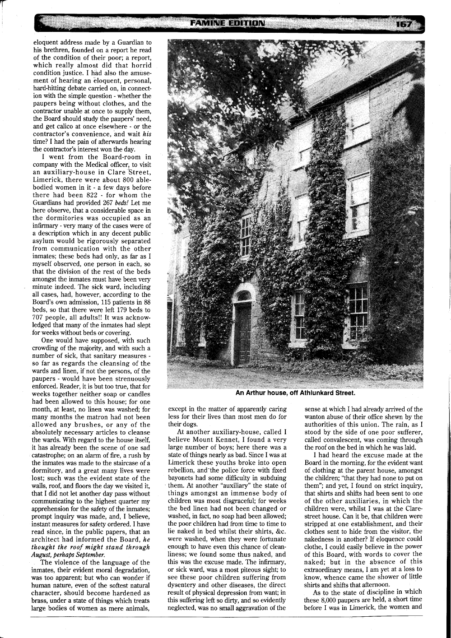eloquent address made by a Guardian to his brethren, founded on a report he read of the condition of their poor; a report, which really almost did that horrid condition justice. I had also the amusement of hearing an eloquent, personal, hard-hitting debate carried on, in connection with the simple question - whether the paupers being without clothes, and the contractor unable at once to supply them, the Board should study the paupers' need, and get calico at once elsewhere - or the contractor's convenience, and wait *his*  time? I had the pain of afterwards hearing the contractor's interest won the day.

I went from the Board-room in company with the Medical officer, to visit an auxiliary-house in Clare 'Street, Limerick, there were about 800 ablebodied women in it - a few days before there had been 822 - for whom the Guardians had provided 267 *beds!* Let me here observe, that a considerable space in the dormitories was occupied as an infirmary - very many of the cases were of a description which in any decent public asylum would be rigorously separated from communication with the other inmates; these beds had only, as far as I myself observed, one person in each, so that the division of the rest of the beds amongst the inmates must have been very minute indeed. The sick ward, including all cases, had, however, according to the Board's own admission, 115 patients in 88 beds, so that there were left 179 beds to 707 people, all adults!! It was acknowledged that many of the inmates had slept for weeks without beds or covering.

One would have supposed, with such crowding of the majority, and with such a number of sick, that sanitary measures so far as regards the cleansing of the wards and linen, if not the persons, of the paupers - would have been strenuously enforced. Reader, it is but too true, that for weeks together neither soap or candles had been allowed to this house; for one month, at least, no linen was washed; for many months the matron had not been allowed any brushes, or any of the absolutely necessary articles to cleanse the wards. With regard to the house itself, it has already been the scene of one sad catastrophe; on an alarm of fire, a rush by the inmates was made to the staircase of a dormitory, and a great many lives were lost; such was the evident state of the walls, roof, and floors the day we visited it, that I did not let another day pass without communicating to the highest quarter my apprehension for the safety of the inmates; prompt inquiry was made, and, I believe, instant measures for safety ordered. I have read since, in the public papers, that an architect had informed the Board, *he thought the roof might stand through August, perhaps September.* 

The violence of the language of the inmates, their evident moral degradation, was too apparent; but who can wonder if human nature, even of the softest natural character, should become hardened as brass, under a state of things which treats large bodies of women as mere animals,



**An Arthur house, off Athlunkard Street.** 

except in the matter of apparently caring less for their lives than most men do for their dogs.

At another auxiliary-house, called I believe Mount Kennet, I found a very large number of boys; here there was a state of things nearly as bad. Since I was at Limerick these youths broke into open rebellion, and the police force with fixed bayonets had some difficulty in subduing them. At another "auxiliary" the state of things amongst an immense body of children was most disgraceful; for weeks the bed linen had not been changed or washed, in fact, no soap had been allowed; the poor children had from time to time to lie naked in bed whilst their shirts, &c. were washed, when they were fortunate enough to have even this chance of cleanliness; we found some thus naked, and this was the excuse made. The infirmary, or sick ward, was a most piteous sight; to see these poor children suffering from dysentery and other diseases, the direct result of physical depression from want; in this suffering left so dirty, and so evidently neglected, was no small aggravation of the

sense at which I had already arrived of the wanton abuse of their office shewn by the authorities of this union. The rain, as I stood by the side of one poor sufferer, called convalescent, was coming through the roof on the bed in which he was laid.

I had heard the excuse made at the Board in the morning, for the evident want of clothing at the parent house, amongst the children; "that they had none to put on them"; and yet, I found on strict inquiry, that shirts and shifts had been sent to one of the other auxiliaries, in which the children were, whilst I was at the Clarestreet house. Can it be, that children were stripped at one establishment, and their clothes sent to hide from the visitor, the nakedness in another? If eloquence could clothe, I could easily believe in the power of this Board, with words to cover the naked; but in the absence of this extraordinary means, I am yet at a loss to know, whence came the shower of little shirts and shifts that afternoon.

As to the state of discipline in which these 8,000 paupers are held, a short time before I was in Limerick, the women and